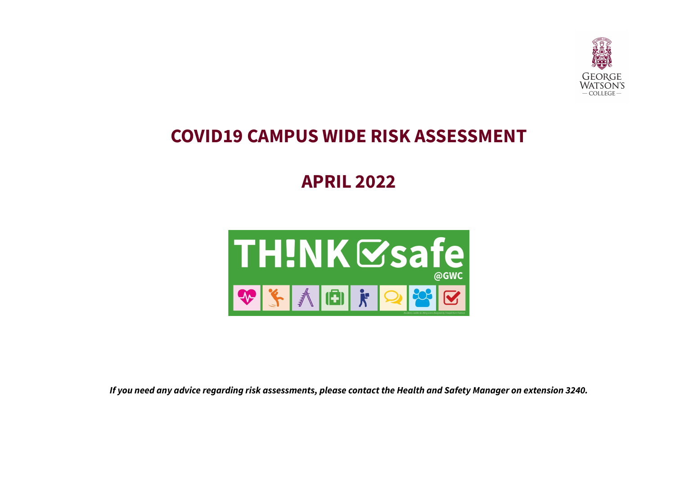

## **COVID19 CAMPUS WIDE RISK ASSESSMENT**

# **APRIL 2022**



If you need any advice regarding risk assessments, please contact the Health and Safety Manager on extension 3240.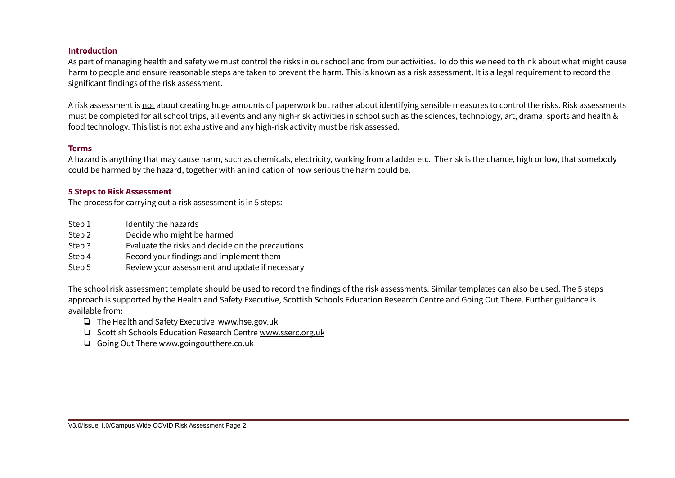#### **Introduction**

As part of managing health and safety we must control the risks in our school and from our activities. To do this we need to think about what might cause harm to people and ensure reasonable steps are taken to prevent the harm. This is known as a risk assessment. It is a legal requirement to record the significant findings of the risk assessment.

A risk assessment is not about creating huge amounts of paperwork but rather about identifying sensible measures to control the risks. Risk assessments must be completed for all school trips, all events and any high-risk activities in school such as the sciences, technology, art, drama, sports and health & food technology. This list is not exhaustive and any high-risk activity must be risk assessed.

#### **Terms**

A hazard is anything that may cause harm, such as chemicals, electricity, working from a ladder etc. The risk is the chance, high or low, that somebody could be harmed by the hazard, together with an indication of how serious the harm could be.

### **5 Steps to Risk Assessment**

The process for carrying out a risk assessment is in 5 steps:

- Step 1 Identify the hazards
- Step 2 Decide who might be harmed
- Step 3 Evaluate the risks and decide on the precautions
- Step 4 Record your findings and implement them
- Step 5 Review your assessment and update if necessary

The school risk assessment template should be used to record the findings of the risk assessments. Similar templates can also be used. The 5 steps approach is supported by the Health and Safety Executive, Scottish Schools Education Research Centre and Going Out There. Further guidance is available from:

- ❏ The Health and Safety Executive [www.hse.gov.uk](http://www.hse.gov.uk)
- ❏ Scottish Schools Education Research Centre [www.sserc.org.uk](http://www.sserc.org.uk)
- ❏ Going Out There [www.goingoutthere.co.uk](http://www.goingoutthere.co.uk)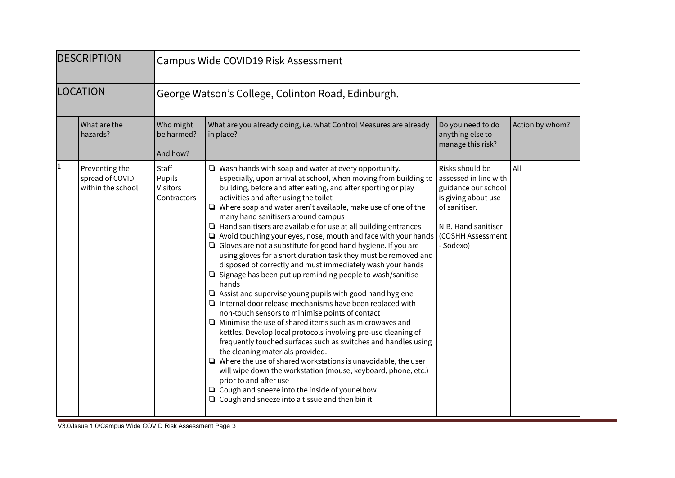| <b>DESCRIPTION</b>                                          | Campus Wide COVID19 Risk Assessment                |                                                                                                                                                                                                                                                                                                                                                                                                                                                                                                                                                                                                                                                                                                                                                                                                                                                                                                                                                                                                                                                                                                                                                                                                                                                                                                                                                                                                                                                                                                                          |                                                                                                                                                                  |                 |  |
|-------------------------------------------------------------|----------------------------------------------------|--------------------------------------------------------------------------------------------------------------------------------------------------------------------------------------------------------------------------------------------------------------------------------------------------------------------------------------------------------------------------------------------------------------------------------------------------------------------------------------------------------------------------------------------------------------------------------------------------------------------------------------------------------------------------------------------------------------------------------------------------------------------------------------------------------------------------------------------------------------------------------------------------------------------------------------------------------------------------------------------------------------------------------------------------------------------------------------------------------------------------------------------------------------------------------------------------------------------------------------------------------------------------------------------------------------------------------------------------------------------------------------------------------------------------------------------------------------------------------------------------------------------------|------------------------------------------------------------------------------------------------------------------------------------------------------------------|-----------------|--|
| LOCATION                                                    | George Watson's College, Colinton Road, Edinburgh. |                                                                                                                                                                                                                                                                                                                                                                                                                                                                                                                                                                                                                                                                                                                                                                                                                                                                                                                                                                                                                                                                                                                                                                                                                                                                                                                                                                                                                                                                                                                          |                                                                                                                                                                  |                 |  |
| What are the<br>hazards?                                    | Who might<br>be harmed?<br>And how?                | What are you already doing, i.e. what Control Measures are already<br>in place?                                                                                                                                                                                                                                                                                                                                                                                                                                                                                                                                                                                                                                                                                                                                                                                                                                                                                                                                                                                                                                                                                                                                                                                                                                                                                                                                                                                                                                          | Do you need to do<br>anything else to<br>manage this risk?                                                                                                       | Action by whom? |  |
| 1<br>Preventing the<br>spread of COVID<br>within the school | Staff<br>Pupils<br>Visitors<br>Contractors         | $\Box$ Wash hands with soap and water at every opportunity.<br>Especially, upon arrival at school, when moving from building to<br>building, before and after eating, and after sporting or play<br>activities and after using the toilet<br>$\Box$ Where soap and water aren't available, make use of one of the<br>many hand sanitisers around campus<br>$\Box$ Hand sanitisers are available for use at all building entrances<br>$\Box$ Avoid touching your eyes, nose, mouth and face with your hands<br>$\Box$ Gloves are not a substitute for good hand hygiene. If you are<br>using gloves for a short duration task they must be removed and<br>disposed of correctly and must immediately wash your hands<br>$\Box$ Signage has been put up reminding people to wash/sanitise<br>hands<br>$\Box$ Assist and supervise young pupils with good hand hygiene<br>$\Box$ Internal door release mechanisms have been replaced with<br>non-touch sensors to minimise points of contact<br>$\Box$ Minimise the use of shared items such as microwaves and<br>kettles. Develop local protocols involving pre-use cleaning of<br>frequently touched surfaces such as switches and handles using<br>the cleaning materials provided.<br>$\Box$ Where the use of shared workstations is unavoidable, the user<br>will wipe down the workstation (mouse, keyboard, phone, etc.)<br>prior to and after use<br>$\Box$ Cough and sneeze into the inside of your elbow<br>$\Box$ Cough and sneeze into a tissue and then bin it | Risks should be<br>assessed in line with<br>guidance our school<br>is giving about use<br>of sanitiser.<br>N.B. Hand sanitiser<br>(COSHH Assessment<br>- Sodexo) | All             |  |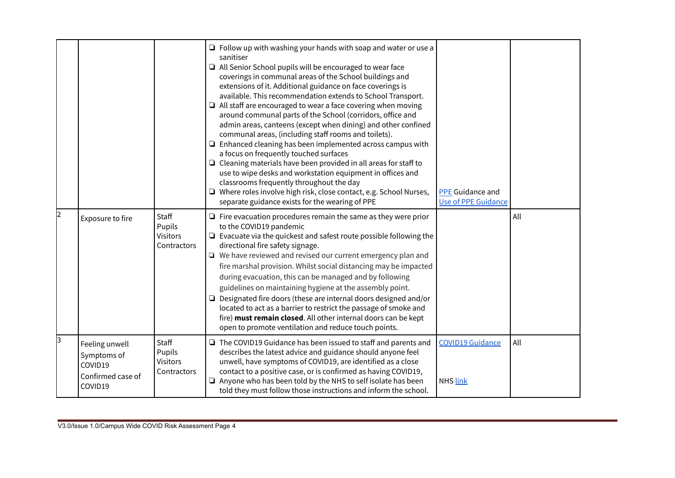|   |                                                                          |                                                   | $\Box$ Follow up with washing your hands with soap and water or use a<br>sanitiser<br>$\Box$ All Senior School pupils will be encouraged to wear face<br>coverings in communal areas of the School buildings and<br>extensions of it. Additional guidance on face coverings is<br>available. This recommendation extends to School Transport.<br>$\Box$ All staff are encouraged to wear a face covering when moving<br>around communal parts of the School (corridors, office and<br>admin areas, canteens (except when dining) and other confined<br>communal areas, (including staff rooms and toilets).<br>$\Box$ Enhanced cleaning has been implemented across campus with<br>a focus on frequently touched surfaces<br>$\Box$ Cleaning materials have been provided in all areas for staff to<br>use to wipe desks and workstation equipment in offices and<br>classrooms frequently throughout the day<br>□ Where roles involve high risk, close contact, e.g. School Nurses,<br>separate guidance exists for the wearing of PPE | <b>PPE</b> Guidance and<br><b>Use of PPE Guidance</b> |     |
|---|--------------------------------------------------------------------------|---------------------------------------------------|-----------------------------------------------------------------------------------------------------------------------------------------------------------------------------------------------------------------------------------------------------------------------------------------------------------------------------------------------------------------------------------------------------------------------------------------------------------------------------------------------------------------------------------------------------------------------------------------------------------------------------------------------------------------------------------------------------------------------------------------------------------------------------------------------------------------------------------------------------------------------------------------------------------------------------------------------------------------------------------------------------------------------------------------|-------------------------------------------------------|-----|
| 2 | Exposure to fire                                                         | <b>Staff</b><br>Pupils<br>Visitors<br>Contractors | $\Box$ Fire evacuation procedures remain the same as they were prior<br>to the COVID19 pandemic<br>$\Box$ Evacuate via the quickest and safest route possible following the<br>directional fire safety signage.<br>□ We have reviewed and revised our current emergency plan and<br>fire marshal provision. Whilst social distancing may be impacted<br>during evacuation, this can be managed and by following<br>guidelines on maintaining hygiene at the assembly point.<br>$\Box$ Designated fire doors (these are internal doors designed and/or<br>located to act as a barrier to restrict the passage of smoke and<br>fire) must remain closed. All other internal doors can be kept<br>open to promote ventilation and reduce touch points.                                                                                                                                                                                                                                                                                     |                                                       | All |
| 3 | Feeling unwell<br>Symptoms of<br>COVID19<br>Confirmed case of<br>COVID19 | <b>Staff</b><br>Pupils<br>Visitors<br>Contractors | $\Box$ The COVID19 Guidance has been issued to staff and parents and<br>describes the latest advice and guidance should anyone feel<br>unwell, have symptoms of COVID19, are identified as a close<br>contact to a positive case, or is confirmed as having COVID19,<br>$\Box$ Anyone who has been told by the NHS to self isolate has been<br>told they must follow those instructions and inform the school.                                                                                                                                                                                                                                                                                                                                                                                                                                                                                                                                                                                                                          | <b>COVID19 Guidance</b><br>NHS link                   | All |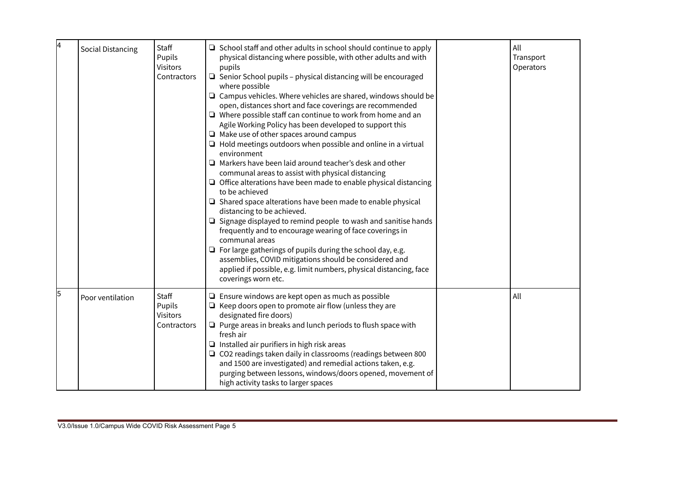| 4 | <b>Social Distancing</b> | Staff<br>Pupils<br>Visitors<br>Contractors        | $\Box$ School staff and other adults in school should continue to apply<br>physical distancing where possible, with other adults and with<br>pupils<br>$\Box$ Senior School pupils - physical distancing will be encouraged<br>where possible<br>$\Box$ Campus vehicles. Where vehicles are shared, windows should be<br>open, distances short and face coverings are recommended<br>$\Box$ Where possible staff can continue to work from home and an<br>Agile Working Policy has been developed to support this<br>$\Box$ Make use of other spaces around campus<br>$\Box$ Hold meetings outdoors when possible and online in a virtual<br>environment<br>$\Box$ Markers have been laid around teacher's desk and other<br>communal areas to assist with physical distancing<br>$\Box$ Office alterations have been made to enable physical distancing<br>to be achieved<br>$\Box$ Shared space alterations have been made to enable physical<br>distancing to be achieved.<br>$\Box$ Signage displayed to remind people to wash and sanitise hands<br>frequently and to encourage wearing of face coverings in<br>communal areas<br>$\Box$ For large gatherings of pupils during the school day, e.g.<br>assemblies, COVID mitigations should be considered and<br>applied if possible, e.g. limit numbers, physical distancing, face<br>coverings worn etc. | All<br>Transport<br>Operators |
|---|--------------------------|---------------------------------------------------|-----------------------------------------------------------------------------------------------------------------------------------------------------------------------------------------------------------------------------------------------------------------------------------------------------------------------------------------------------------------------------------------------------------------------------------------------------------------------------------------------------------------------------------------------------------------------------------------------------------------------------------------------------------------------------------------------------------------------------------------------------------------------------------------------------------------------------------------------------------------------------------------------------------------------------------------------------------------------------------------------------------------------------------------------------------------------------------------------------------------------------------------------------------------------------------------------------------------------------------------------------------------------------------------------------------------------------------------------------------------|-------------------------------|
| 5 | Poor ventilation         | Staff<br>Pupils<br><b>Visitors</b><br>Contractors | $\Box$ Ensure windows are kept open as much as possible<br>$\Box$ Keep doors open to promote air flow (unless they are<br>designated fire doors)<br>$\Box$ Purge areas in breaks and lunch periods to flush space with<br>fresh air<br>$\Box$ Installed air purifiers in high risk areas<br>$\Box$ CO2 readings taken daily in classrooms (readings between 800<br>and 1500 are investigated) and remedial actions taken, e.g.<br>purging between lessons, windows/doors opened, movement of<br>high activity tasks to larger spaces                                                                                                                                                                                                                                                                                                                                                                                                                                                                                                                                                                                                                                                                                                                                                                                                                            | All                           |